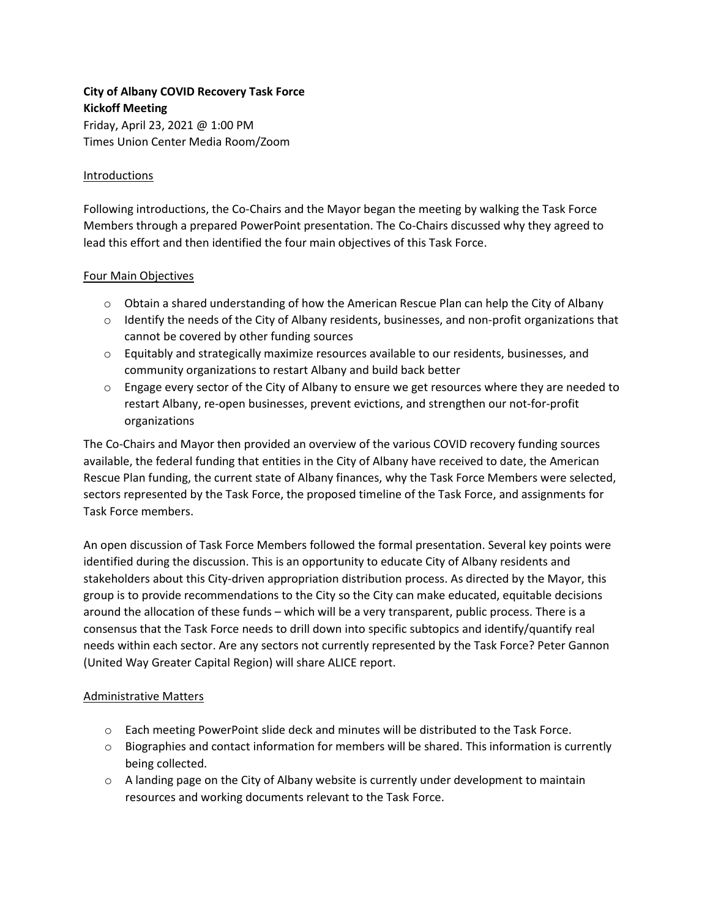# **City of Albany COVID Recovery Task Force Kickoff Meeting**

Friday, April 23, 2021 @ 1:00 PM Times Union Center Media Room/Zoom

### Introductions

Following introductions, the Co-Chairs and the Mayor began the meeting by walking the Task Force Members through a prepared PowerPoint presentation. The Co-Chairs discussed why they agreed to lead this effort and then identified the four main objectives of this Task Force.

### Four Main Objectives

- o Obtain a shared understanding of how the American Rescue Plan can help the City of Albany
- $\circ$  Identify the needs of the City of Albany residents, businesses, and non-profit organizations that cannot be covered by other funding sources
- o Equitably and strategically maximize resources available to our residents, businesses, and community organizations to restart Albany and build back better
- $\circ$  Engage every sector of the City of Albany to ensure we get resources where they are needed to restart Albany, re-open businesses, prevent evictions, and strengthen our not-for-profit organizations

The Co-Chairs and Mayor then provided an overview of the various COVID recovery funding sources available, the federal funding that entities in the City of Albany have received to date, the American Rescue Plan funding, the current state of Albany finances, why the Task Force Members were selected, sectors represented by the Task Force, the proposed timeline of the Task Force, and assignments for Task Force members.

An open discussion of Task Force Members followed the formal presentation. Several key points were identified during the discussion. This is an opportunity to educate City of Albany residents and stakeholders about this City-driven appropriation distribution process. As directed by the Mayor, this group is to provide recommendations to the City so the City can make educated, equitable decisions around the allocation of these funds – which will be a very transparent, public process. There is a consensus that the Task Force needs to drill down into specific subtopics and identify/quantify real needs within each sector. Are any sectors not currently represented by the Task Force? Peter Gannon (United Way Greater Capital Region) will share ALICE report.

### Administrative Matters

- o Each meeting PowerPoint slide deck and minutes will be distributed to the Task Force.
- $\circ$  Biographies and contact information for members will be shared. This information is currently being collected.
- $\circ$  A landing page on the City of Albany website is currently under development to maintain resources and working documents relevant to the Task Force.